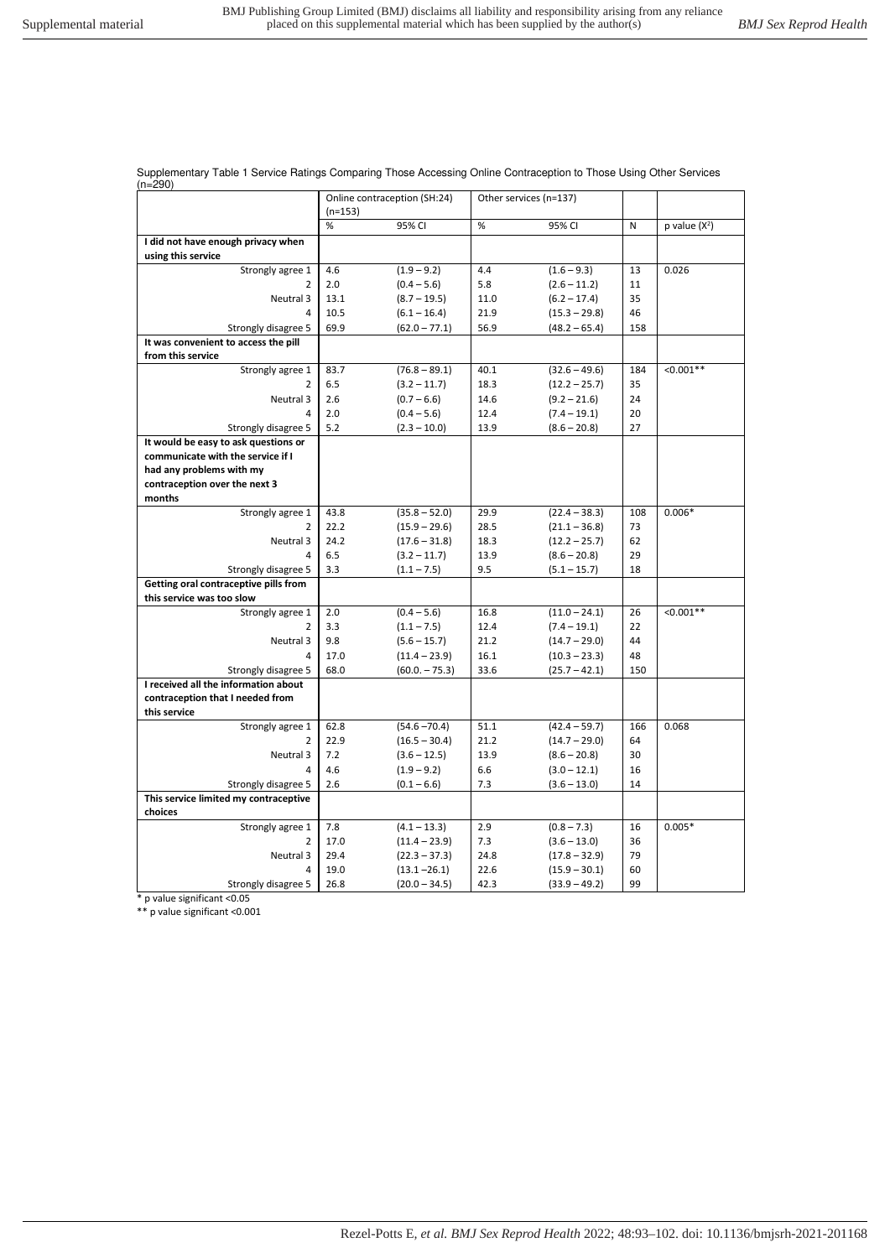Supplementary Table 1 Service Ratings Comparing Those Accessing Online Contraception to Those Using Other Services (n=290)

|                                       | Online contraception (SH:24) |                 | Other services (n=137) |                 |     |                 |
|---------------------------------------|------------------------------|-----------------|------------------------|-----------------|-----|-----------------|
|                                       | $(n=153)$                    |                 |                        |                 |     |                 |
|                                       | %                            | 95% CI          | %                      | 95% CI          | N   | p value $(X^2)$ |
| I did not have enough privacy when    |                              |                 |                        |                 |     |                 |
| using this service                    |                              |                 |                        |                 |     |                 |
| Strongly agree 1                      | 4.6                          | $(1.9 - 9.2)$   | 4.4                    | $(1.6 - 9.3)$   | 13  | 0.026           |
| 2                                     | 2.0                          | $(0.4 - 5.6)$   | 5.8                    | $(2.6 - 11.2)$  | 11  |                 |
| Neutral 3                             | 13.1                         | $(8.7 - 19.5)$  | 11.0                   | $(6.2 - 17.4)$  | 35  |                 |
| 4                                     | 10.5                         | $(6.1 - 16.4)$  | 21.9                   | $(15.3 - 29.8)$ | 46  |                 |
| Strongly disagree 5                   | 69.9                         | $(62.0 - 77.1)$ | 56.9                   | $(48.2 - 65.4)$ | 158 |                 |
| It was convenient to access the pill  |                              |                 |                        |                 |     |                 |
| from this service                     |                              |                 |                        |                 |     |                 |
| Strongly agree 1                      | 83.7                         | $(76.8 - 89.1)$ | 40.1                   | $(32.6 - 49.6)$ | 184 | $< 0.001**$     |
| $\overline{2}$                        | 6.5                          | $(3.2 - 11.7)$  | 18.3                   | $(12.2 - 25.7)$ | 35  |                 |
| Neutral 3                             | 2.6                          | $(0.7 - 6.6)$   | 14.6                   | $(9.2 - 21.6)$  | 24  |                 |
| 4                                     | 2.0                          | $(0.4 - 5.6)$   | 12.4                   | $(7.4 - 19.1)$  | 20  |                 |
| Strongly disagree 5                   | 5.2                          | $(2.3 - 10.0)$  | 13.9                   | $(8.6 - 20.8)$  | 27  |                 |
| It would be easy to ask questions or  |                              |                 |                        |                 |     |                 |
| communicate with the service if I     |                              |                 |                        |                 |     |                 |
| had any problems with my              |                              |                 |                        |                 |     |                 |
| contraception over the next 3         |                              |                 |                        |                 |     |                 |
| months                                |                              |                 |                        |                 |     |                 |
| Strongly agree 1                      | 43.8                         | $(35.8 - 52.0)$ | 29.9                   | $(22.4 - 38.3)$ | 108 | $0.006*$        |
| 2                                     | 22.2                         | $(15.9 - 29.6)$ | 28.5                   | $(21.1 - 36.8)$ | 73  |                 |
| Neutral 3                             | 24.2                         | $(17.6 - 31.8)$ | 18.3                   | $(12.2 - 25.7)$ | 62  |                 |
| 4                                     | 6.5                          | $(3.2 - 11.7)$  | 13.9                   | $(8.6 - 20.8)$  | 29  |                 |
| Strongly disagree 5                   | 3.3                          | $(1.1 - 7.5)$   | 9.5                    | $(5.1 - 15.7)$  | 18  |                 |
| Getting oral contraceptive pills from |                              |                 |                        |                 |     |                 |
| this service was too slow             |                              |                 |                        |                 |     |                 |
| Strongly agree 1                      | 2.0                          | $(0.4 - 5.6)$   | 16.8                   | $(11.0 - 24.1)$ | 26  | $< 0.001**$     |
| 2                                     | 3.3                          | $(1.1 - 7.5)$   | 12.4                   | $(7.4 - 19.1)$  | 22  |                 |
| Neutral 3                             | 9.8                          | $(5.6 - 15.7)$  | 21.2                   | $(14.7 - 29.0)$ | 44  |                 |
| 4                                     | 17.0                         | $(11.4 - 23.9)$ | 16.1                   | $(10.3 - 23.3)$ | 48  |                 |
| Strongly disagree 5                   | 68.0                         | $(60.0 - 75.3)$ | 33.6                   | $(25.7 - 42.1)$ | 150 |                 |
| I received all the information about  |                              |                 |                        |                 |     |                 |
| contraception that I needed from      |                              |                 |                        |                 |     |                 |
| this service                          |                              |                 |                        |                 |     |                 |
| Strongly agree 1                      | 62.8                         | $(54.6 - 70.4)$ | 51.1                   | $(42.4 - 59.7)$ | 166 | 0.068           |
| 2                                     | 22.9                         | $(16.5 - 30.4)$ | 21.2                   | $(14.7 - 29.0)$ | 64  |                 |
| Neutral 3                             | 7.2                          | $(3.6 - 12.5)$  | 13.9                   | $(8.6 - 20.8)$  | 30  |                 |
| $\Delta$                              | 4.6                          | $(1.9 - 9.2)$   | 6.6                    | $(3.0 - 12.1)$  | 16  |                 |
| Strongly disagree 5                   | 2.6                          | $(0.1 - 6.6)$   | 7.3                    | $(3.6 - 13.0)$  | 14  |                 |
| This service limited my contraceptive |                              |                 |                        |                 |     |                 |
| choices                               | 7.8                          |                 | 2.9                    |                 | 16  |                 |
| Strongly agree 1                      |                              | $(4.1 - 13.3)$  |                        | $(0.8 - 7.3)$   |     | $0.005*$        |
| 2                                     | 17.0                         | $(11.4 - 23.9)$ | 7.3                    | $(3.6 - 13.0)$  | 36  |                 |
| Neutral 3                             | 29.4                         | $(22.3 - 37.3)$ | 24.8                   | $(17.8 - 32.9)$ | 79  |                 |
| 4                                     | 19.0                         | $(13.1 - 26.1)$ | 22.6                   | $(15.9 - 30.1)$ | 60  |                 |
| Strongly disagree 5                   | 26.8                         | $(20.0 - 34.5)$ | 42.3                   | $(33.9 - 49.2)$ | 99  |                 |

\* p value significant <0.05

\*\* p value significant <0.001